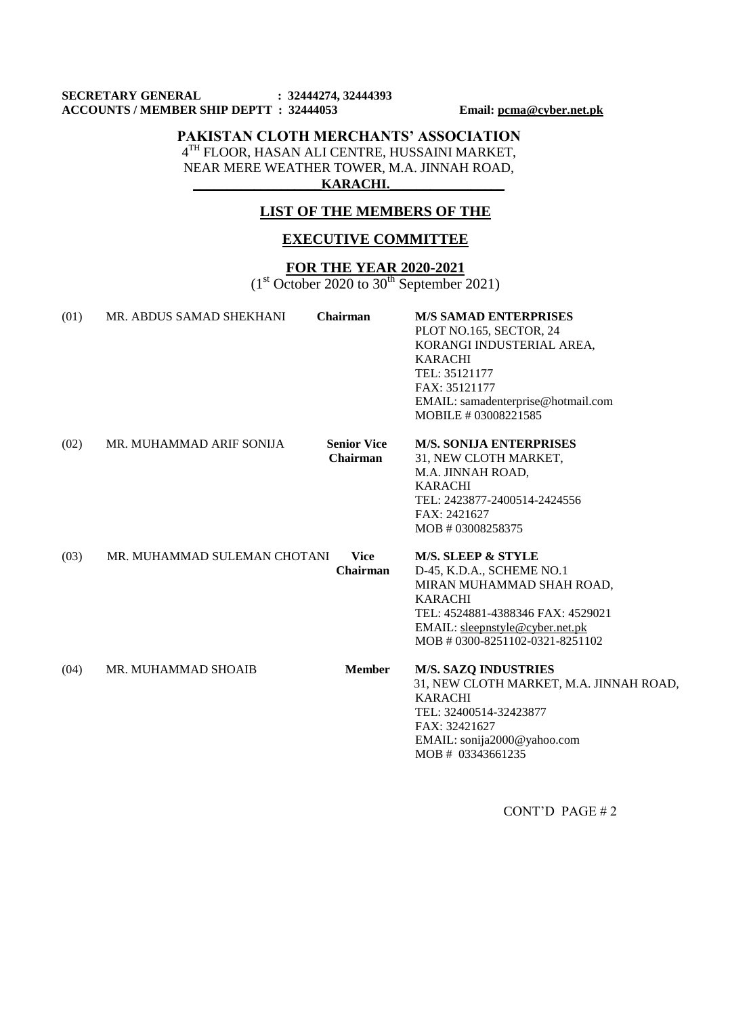#### **SECRETARY GENERAL : 32444274, 32444393 ACCOUNTS / MEMBER SHIP DEPTT : 32444053 Email: [pcma@cyber.net.pk](mailto:pcma@cyber.net.pk)**

### **PAKISTAN CLOTH MERCHANTS' ASSOCIATION** 4 TH FLOOR, HASAN ALI CENTRE, HUSSAINI MARKET, NEAR MERE WEATHER TOWER, M.A. JINNAH ROAD,

**\_\_\_\_\_\_\_\_\_\_\_\_\_\_\_\_\_\_\_KARACHI.\_\_\_\_\_\_\_\_\_\_\_\_\_\_\_\_\_**

## **LIST OF THE MEMBERS OF THE**

# **EXECUTIVE COMMITTEE**

# **FOR THE YEAR 2020-2021**

 $(1<sup>st</sup> October 2020 to 30<sup>th</sup> September 2021)$ 

| (01) | MR. ABDUS SAMAD SHEKHANI     | Chairman                       | <b>M/S SAMAD ENTERPRISES</b><br>PLOT NO.165, SECTOR, 24<br>KORANGI INDUSTERIAL AREA,<br><b>KARACHI</b><br>TEL: 35121177<br>FAX: 35121177<br>EMAIL: samadenterprise@hotmail.com<br>MOBILE # 03008221585               |
|------|------------------------------|--------------------------------|----------------------------------------------------------------------------------------------------------------------------------------------------------------------------------------------------------------------|
| (02) | MR. MUHAMMAD ARIF SONIJA     | <b>Senior Vice</b><br>Chairman | <b>M/S. SONIJA ENTERPRISES</b><br>31, NEW CLOTH MARKET,<br>M.A. JINNAH ROAD,<br><b>KARACHI</b><br>TEL: 2423877-2400514-2424556<br>FAX: 2421627<br>MOB #03008258375                                                   |
| (03) | MR. MUHAMMAD SULEMAN CHOTANI | <b>Vice</b><br><b>Chairman</b> | <b>M/S. SLEEP &amp; STYLE</b><br>D-45, K.D.A., SCHEME NO.1<br>MIRAN MUHAMMAD SHAH ROAD,<br><b>KARACHI</b><br>TEL: 4524881-4388346 FAX: 4529021<br>EMAIL: sleepnstyle@cyber.net.pk<br>MOB # 0300-8251102-0321-8251102 |
| (04) | MR. MUHAMMAD SHOAIB          | <b>Member</b>                  | <b>M/S. SAZQ INDUSTRIES</b><br>31, NEW CLOTH MARKET, M.A. JINNAH ROAD,<br><b>KARACHI</b><br>TEL: 32400514-32423877<br>FAX: 32421627<br>EMAIL: sonija2000@yahoo.com<br>MOB # 03343661235                              |

CONT'D PAGE # 2